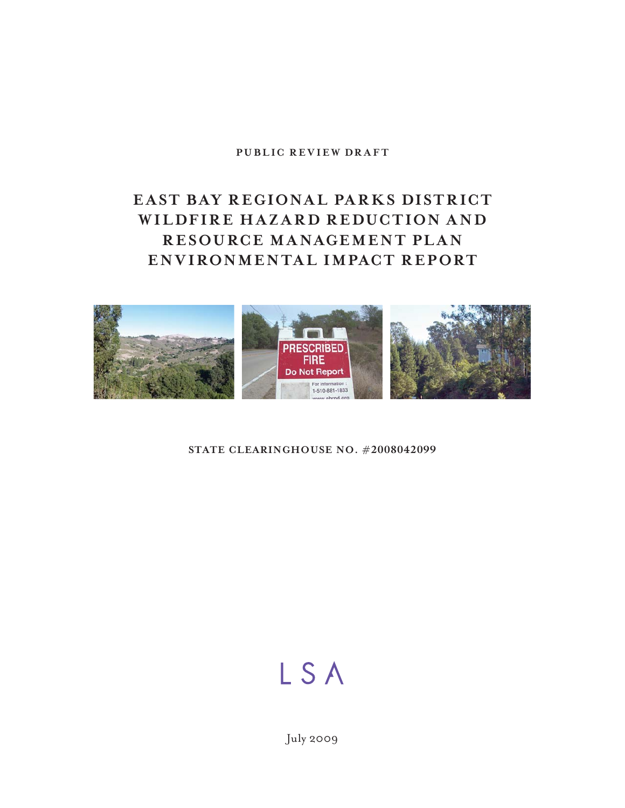### **PUBLIC REVIEW DRAFT**

## **EAST BAY REGIONAL PARKS DISTRICT WILDFIRE HAZARD REDUCTION AND RESOURCE MANAGEMENT PLAN ENVIRONMENTAL IMPACT REPORT**



### **STATE CLEARINGHOUSE NO. #2008042099**

# LSA

July 2009